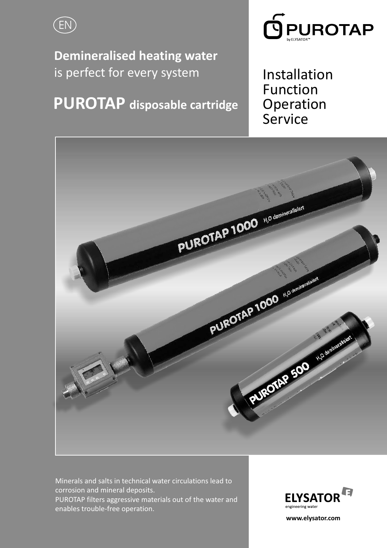

**Demineralised heating water** is perfect for every system

**PUROTAP disposable cartridge**



Installation Function Operation Service



Minerals and salts in technical water circulations lead to corrosion and mineral deposits. PUROTAP filters aggressive materials out of the water and enables trouble-free operation.



**www.elysator.com**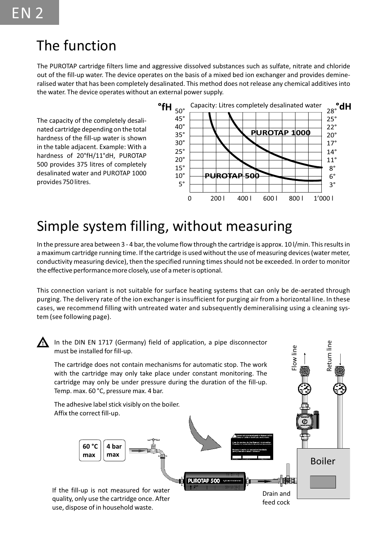## The function

The PUROTAP cartridge filters lime and aggressive dissolved substances such as sulfate, nitrate and chloride out of the fill-up water. The device operates on the basis of a mixed bed ion exchanger and provides demineralised water that has been completely desalinated. This method does not release any chemical additives into the water. The device operates without an external power supply.

The capacity of the completely desalinated cartridge depending on the total hardness of the fill-up water is shown in the table adjacent. Example: With a hardness of 20°fH/11°dH, PUROTAP 500 provides 375 litres of completely desalinated water and PUROTAP 1000 provides 750 litres.



## Simple system filling, without measuring

In the pressure area between 3 - 4 bar, the volume flow through the cartridge is approx. 10 l/min. This results in a maximum cartridge running time. If the cartridge is used without the use of measuring devices (water meter, conductivity measuring device), then the specified running times should not be exceeded. In order to monitor the effective performance more closely, use of a meter is optional.

This connection variant is not suitable for surface heating systems that can only be de-aerated through purging. The delivery rate of the ion exchanger is insufficient for purging air from a horizontal line. In these cases, we recommend filling with untreated water and subsequently demineralising using a cleaning system (see following page).

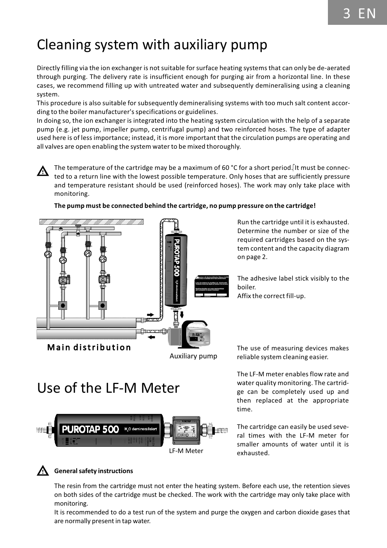# Cleaning system with auxiliary pump

Directly filling via the ion exchanger is not suitable for surface heating systems that can only be de-aerated through purging. The delivery rate is insufficient enough for purging air from a horizontal line. In these cases, we recommend filling up with untreated water and subsequently demineralising using a cleaning system.

This procedure is also suitable for subsequently demineralising systems with too much salt content according to the boiler manufacturer's specifications or guidelines.

In doing so, the ion exchanger is integrated into the heating system circulation with the help of a separate pump (e.g. jet pump, impeller pump, centrifugal pump) and two reinforced hoses. The type of adapter used here is of less importance; instead, it is more important that the circulation pumps are operating and all valves are open enabling the system water to be mixed thoroughly.

The temperature of the cartridge may be a maximum of 60 °C for a short period. It must be connec-Λ ted to a return line with the lowest possible temperature. Only hoses that are sufficiently pressure and temperature resistant should be used (reinforced hoses). The work may only take place with monitoring.



#### **The pump must be connected behind the cartridge, no pump pressure on the cartridge!**

Auxiliary pump

Run the cartridge until it is exhausted. Determine the number or size of the required cartridges based on the system content and the capacity diagram on page 2.

The adhesive label stick visibly to the boiler. Affix the correct fill-up.

# Use of the LF-M Meter



The use of measuring devices makes reliable system cleaning easier.

The LF-M meter enables flow rate and water quality monitoring. The cartridge can be completely used up and then replaced at the appropriate time.

The cartridge can easily be used several times with the LF-M meter for smaller amounts of water until it is exhausted.

#### **General safety instructions**

The resin from the cartridge must not enter the heating system. Before each use, the retention sieves on both sides of the cartridge must be checked. The work with the cartridge may only take place with monitoring.

It is recommended to do a test run of the system and purge the oxygen and carbon dioxide gases that are normally present in tap water.